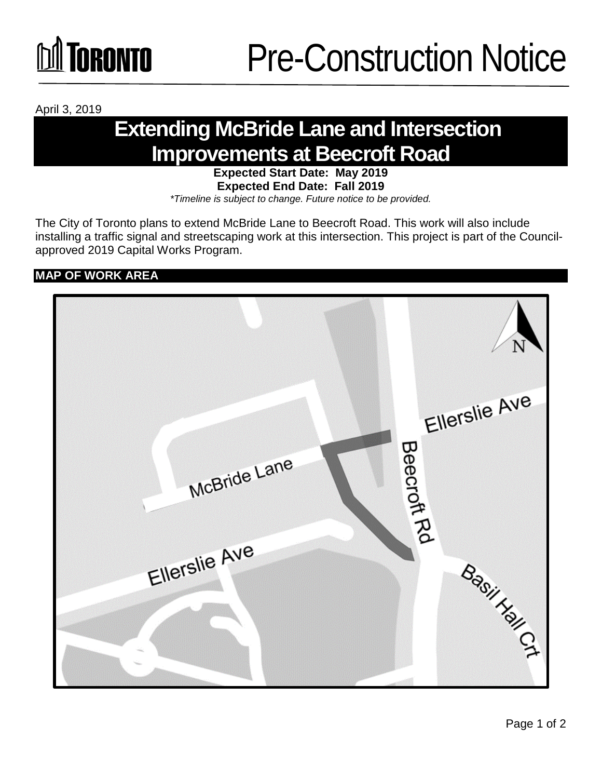

April 3, 2019

### **Extending McBride Lane and Intersection Improvements at Beecroft Road**

### **Expected Start Date: May 2019 Expected End Date: Fall 2019**

*\*Timeline is subject to change. Future notice to be provided.*

The City of Toronto plans to extend McBride Lane to Beecroft Road. This work will also include installing a traffic signal and streetscaping work at this intersection. This project is part of the Councilapproved 2019 Capital Works Program.

**MAP OF WORK AREA**